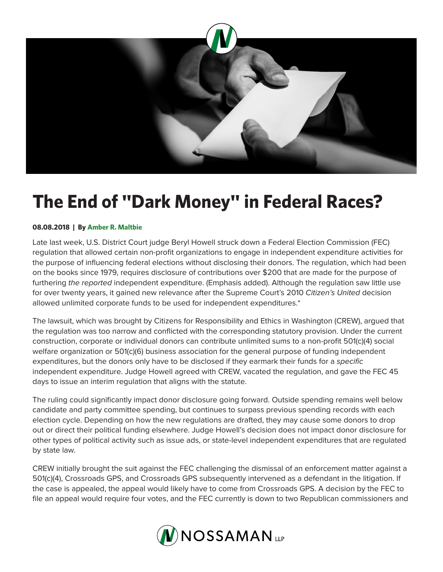

## **The End of "Dark Money" in Federal Races?**

## **08.08.2018 | By Amber R. Maltbie**

Late last week, U.S. District Court judge Beryl Howell struck down a Federal Election Commission (FEC) regulation that allowed certain non-profit organizations to engage in independent expenditure activities for the purpose of influencing federal elections without disclosing their donors. The regulation, which had been on the books since 1979, requires disclosure of contributions over \$200 that are made for the purpose of furthering *the reported* independent expenditure. (Emphasis added). Although the regulation saw little use for over twenty years, it gained new relevance after the Supreme Court's 2010 *Citizen's United* decision allowed unlimited corporate funds to be used for independent expenditures.\*

The lawsuit, which was brought by Citizens for Responsibility and Ethics in Washington (CREW), argued that the regulation was too narrow and conflicted with the corresponding statutory provision. Under the current construction, corporate or individual donors can contribute unlimited sums to a non-profit 501(c)(4) social welfare organization or 501(c)(6) business association for the general purpose of funding independent expenditures, but the donors only have to be disclosed if they earmark their funds for a *specific* independent expenditure. Judge Howell agreed with CREW, vacated the regulation, and gave the FEC 45 days to issue an interim regulation that aligns with the statute.

The ruling could significantly impact donor disclosure going forward. Outside spending remains well below candidate and party committee spending, but continues to surpass previous spending records with each election cycle. Depending on how the new regulations are drafted, they may cause some donors to drop out or direct their political funding elsewhere. Judge Howell's decision does not impact donor disclosure for other types of political activity such as issue ads, or state-level independent expenditures that are regulated by state law.

CREW initially brought the suit against the FEC challenging the dismissal of an enforcement matter against a 501(c)(4), Crossroads GPS, and Crossroads GPS subsequently intervened as a defendant in the litigation. If the case is appealed, the appeal would likely have to come from Crossroads GPS. A decision by the FEC to file an appeal would require four votes, and the FEC currently is down to two Republican commissioners and